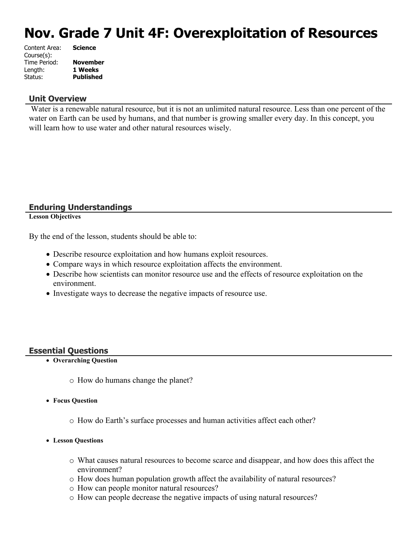# **Nov. Grade 7 Unit 4F: Overexploitation of Resources**

| <b>Science</b>   |
|------------------|
|                  |
| <b>November</b>  |
| 1 Weeks          |
| <b>Published</b> |
|                  |

#### **Unit Overview**

 Water is a renewable natural resource, but it is not an unlimited natural resource. Less than one percent of the water on Earth can be used by humans, and that number is growing smaller every day. In this concept, you will learn how to use water and other natural resources wisely.

#### **Enduring Understandings**

**Lesson Objectives**

By the end of the lesson, students should be able to:

- Describe resource exploitation and how humans exploit resources.
- Compare ways in which resource exploitation affects the environment.
- Describe how scientists can monitor resource use and the effects of resource exploitation on the environment.
- Investigate ways to decrease the negative impacts of resource use.

#### **Essential Questions**

- **Overarching Question**
	- o How do humans change the planet?
- **Focus Question**
	- o How do Earth's surface processes and human activities affect each other?
- **Lesson Questions**
	- o What causes natural resources to become scarce and disappear, and how does this affect the environment?
	- $\circ$  How does human population growth affect the availability of natural resources?
	- o How can people monitor natural resources?
	- o How can people decrease the negative impacts of using natural resources?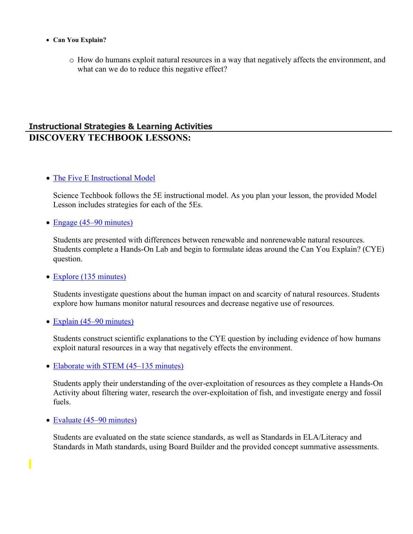- **Can You Explain?**
	- o How do humans exploit natural resources in a way that negatively affects the environment, and what can we do to reduce this negative effect?

# **Instructional Strategies & Learning Activities DISCOVERY TECHBOOK LESSONS:**

#### • [The Five E Instructional Model](https://app.discoveryeducation.com/learn/techbook/units/e82b02d7-bf5b-4915-ac4e-15a18765a628/concepts/dea23ae1-8e07-492d-8a34-accb3e2fe280/lesson/sections/319e6c65-d741-465c-85d2-e9cba7265e0f#91d29bca-e5e7-4489-acae-62eb6e293c6b)

Science Techbook follows the 5E instructional model. As you plan your lesson, the provided Model Lesson includes strategies for each of the 5Es.

• [Engage \(45–90 minutes\)](https://app.discoveryeducation.com/learn/techbook/units/e82b02d7-bf5b-4915-ac4e-15a18765a628/concepts/dea23ae1-8e07-492d-8a34-accb3e2fe280/lesson/sections/319e6c65-d741-465c-85d2-e9cba7265e0f#ed95ddfd-aac9-44c2-8ae0-4802e7f34af8)

Students are presented with differences between renewable and nonrenewable natural resources. Students complete a Hands-On Lab and begin to formulate ideas around the Can You Explain? (CYE) question.

• [Explore \(135 minutes\)](https://app.discoveryeducation.com/learn/techbook/units/e82b02d7-bf5b-4915-ac4e-15a18765a628/concepts/dea23ae1-8e07-492d-8a34-accb3e2fe280/lesson/sections/319e6c65-d741-465c-85d2-e9cba7265e0f#4af79faf-9151-498b-a80c-f5d29a7e9e56)

Students investigate questions about the human impact on and scarcity of natural resources. Students explore how humans monitor natural resources and decrease negative use of resources.

• [Explain \(45–90 minutes\)](https://app.discoveryeducation.com/learn/techbook/units/e82b02d7-bf5b-4915-ac4e-15a18765a628/concepts/dea23ae1-8e07-492d-8a34-accb3e2fe280/lesson/sections/319e6c65-d741-465c-85d2-e9cba7265e0f#309eaa79-4a11-436b-95fa-0a30e8d5dba1)

Students construct scientific explanations to the CYE question by including evidence of how humans exploit natural resources in a way that negatively effects the environment.

• [Elaborate with STEM \(45–135 minutes\)](https://app.discoveryeducation.com/learn/techbook/units/e82b02d7-bf5b-4915-ac4e-15a18765a628/concepts/dea23ae1-8e07-492d-8a34-accb3e2fe280/lesson/sections/319e6c65-d741-465c-85d2-e9cba7265e0f#36245292-a1fb-497e-b7fb-910e9d688773)

Students apply their understanding of the over-exploitation of resources as they complete a Hands-On Activity about filtering water, research the over-exploitation of fish, and investigate energy and fossil fuels.

• [Evaluate \(45–90 minutes\)](https://app.discoveryeducation.com/learn/techbook/units/e82b02d7-bf5b-4915-ac4e-15a18765a628/concepts/dea23ae1-8e07-492d-8a34-accb3e2fe280/lesson/sections/319e6c65-d741-465c-85d2-e9cba7265e0f#56e0c531-dc35-45a5-8ec0-5f78e19ce722)

Students are evaluated on the state science standards, as well as Standards in ELA/Literacy and Standards in Math standards, using Board Builder and the provided concept summative assessments.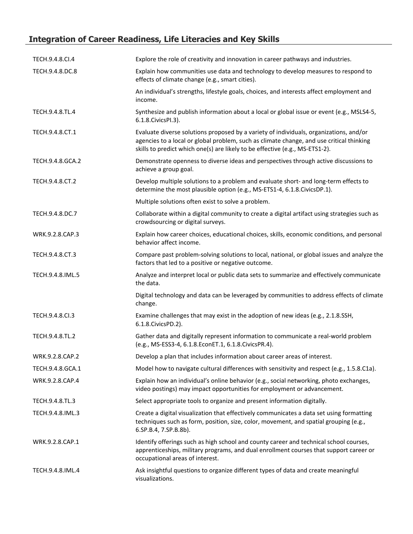# **Integration of Career Readiness, Life Literacies and Key Skills**

| TECH.9.4.8.CI.4  | Explore the role of creativity and innovation in career pathways and industries.                                                                                                                                                                                   |
|------------------|--------------------------------------------------------------------------------------------------------------------------------------------------------------------------------------------------------------------------------------------------------------------|
| TECH.9.4.8.DC.8  | Explain how communities use data and technology to develop measures to respond to<br>effects of climate change (e.g., smart cities).                                                                                                                               |
|                  | An individual's strengths, lifestyle goals, choices, and interests affect employment and<br>income.                                                                                                                                                                |
| TECH.9.4.8.TL.4  | Synthesize and publish information about a local or global issue or event (e.g., MSLS4-5,<br>6.1.8. Civics PI.3).                                                                                                                                                  |
| TECH.9.4.8.CT.1  | Evaluate diverse solutions proposed by a variety of individuals, organizations, and/or<br>agencies to a local or global problem, such as climate change, and use critical thinking<br>skills to predict which one(s) are likely to be effective (e.g., MS-ETS1-2). |
| TECH.9.4.8.GCA.2 | Demonstrate openness to diverse ideas and perspectives through active discussions to<br>achieve a group goal.                                                                                                                                                      |
| TECH.9.4.8.CT.2  | Develop multiple solutions to a problem and evaluate short- and long-term effects to<br>determine the most plausible option (e.g., MS-ETS1-4, 6.1.8.CivicsDP.1).                                                                                                   |
|                  | Multiple solutions often exist to solve a problem.                                                                                                                                                                                                                 |
| TECH.9.4.8.DC.7  | Collaborate within a digital community to create a digital artifact using strategies such as<br>crowdsourcing or digital surveys.                                                                                                                                  |
| WRK.9.2.8.CAP.3  | Explain how career choices, educational choices, skills, economic conditions, and personal<br>behavior affect income.                                                                                                                                              |
| TECH.9.4.8.CT.3  | Compare past problem-solving solutions to local, national, or global issues and analyze the<br>factors that led to a positive or negative outcome.                                                                                                                 |
| TECH.9.4.8.IML.5 | Analyze and interpret local or public data sets to summarize and effectively communicate<br>the data.                                                                                                                                                              |
|                  | Digital technology and data can be leveraged by communities to address effects of climate<br>change.                                                                                                                                                               |
| TECH.9.4.8.Cl.3  | Examine challenges that may exist in the adoption of new ideas (e.g., 2.1.8.SSH,<br>6.1.8. Civics PD. 2).                                                                                                                                                          |
| TECH.9.4.8.TL.2  | Gather data and digitally represent information to communicate a real-world problem<br>(e.g., MS-ESS3-4, 6.1.8.EconET.1, 6.1.8.CivicsPR.4).                                                                                                                        |
| WRK.9.2.8.CAP.2  | Develop a plan that includes information about career areas of interest.                                                                                                                                                                                           |
| TECH.9.4.8.GCA.1 | Model how to navigate cultural differences with sensitivity and respect (e.g., 1.5.8.C1a).                                                                                                                                                                         |
| WRK.9.2.8.CAP.4  | Explain how an individual's online behavior (e.g., social networking, photo exchanges,<br>video postings) may impact opportunities for employment or advancement.                                                                                                  |
| TECH.9.4.8.TL.3  | Select appropriate tools to organize and present information digitally.                                                                                                                                                                                            |
| TECH.9.4.8.IML.3 | Create a digital visualization that effectively communicates a data set using formatting<br>techniques such as form, position, size, color, movement, and spatial grouping (e.g.,<br>6.SP.B.4, 7.SP.B.8b).                                                         |
| WRK.9.2.8.CAP.1  | Identify offerings such as high school and county career and technical school courses,<br>apprenticeships, military programs, and dual enrollment courses that support career or<br>occupational areas of interest.                                                |
| TECH.9.4.8.IML.4 | Ask insightful questions to organize different types of data and create meaningful<br>visualizations.                                                                                                                                                              |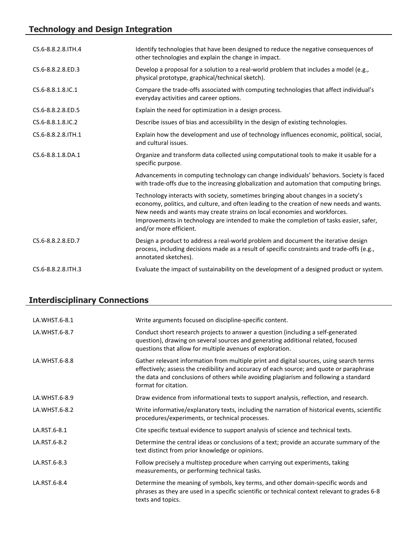# **Technology and Design Integration**

| CS.6-8.8.2.8. ITH.4 | Identify technologies that have been designed to reduce the negative consequences of<br>other technologies and explain the change in impact.                                                                                                                                                                                                                                     |
|---------------------|----------------------------------------------------------------------------------------------------------------------------------------------------------------------------------------------------------------------------------------------------------------------------------------------------------------------------------------------------------------------------------|
| CS.6-8.8.2.8.ED.3   | Develop a proposal for a solution to a real-world problem that includes a model (e.g.,<br>physical prototype, graphical/technical sketch).                                                                                                                                                                                                                                       |
| CS.6-8.8.1.8.IC.1   | Compare the trade-offs associated with computing technologies that affect individual's<br>everyday activities and career options.                                                                                                                                                                                                                                                |
| CS.6-8.8.2.8.ED.5   | Explain the need for optimization in a design process.                                                                                                                                                                                                                                                                                                                           |
| CS.6-8.8.1.8.IC.2   | Describe issues of bias and accessibility in the design of existing technologies.                                                                                                                                                                                                                                                                                                |
| CS.6-8.8.2.8. ITH.1 | Explain how the development and use of technology influences economic, political, social,<br>and cultural issues.                                                                                                                                                                                                                                                                |
| CS.6-8.8.1.8.DA.1   | Organize and transform data collected using computational tools to make it usable for a<br>specific purpose.                                                                                                                                                                                                                                                                     |
|                     | Advancements in computing technology can change individuals' behaviors. Society is faced<br>with trade-offs due to the increasing globalization and automation that computing brings.                                                                                                                                                                                            |
|                     | Technology interacts with society, sometimes bringing about changes in a society's<br>economy, politics, and culture, and often leading to the creation of new needs and wants.<br>New needs and wants may create strains on local economies and workforces.<br>Improvements in technology are intended to make the completion of tasks easier, safer,<br>and/or more efficient. |
| CS.6-8.8.2.8.ED.7   | Design a product to address a real-world problem and document the iterative design<br>process, including decisions made as a result of specific constraints and trade-offs (e.g.,<br>annotated sketches).                                                                                                                                                                        |
| CS.6-8.8.2.8. TH.3  | Evaluate the impact of sustainability on the development of a designed product or system.                                                                                                                                                                                                                                                                                        |

# **Interdisciplinary Connections**

| LA.WHST.6-8.1 | Write arguments focused on discipline-specific content.                                                                                                                                                                                                                                              |
|---------------|------------------------------------------------------------------------------------------------------------------------------------------------------------------------------------------------------------------------------------------------------------------------------------------------------|
| LA.WHST.6-8.7 | Conduct short research projects to answer a question (including a self-generated<br>question), drawing on several sources and generating additional related, focused<br>questions that allow for multiple avenues of exploration.                                                                    |
| LA.WHST.6-8.8 | Gather relevant information from multiple print and digital sources, using search terms<br>effectively; assess the credibility and accuracy of each source; and quote or paraphrase<br>the data and conclusions of others while avoiding plagiarism and following a standard<br>format for citation. |
| LA.WHST.6-8.9 | Draw evidence from informational texts to support analysis, reflection, and research.                                                                                                                                                                                                                |
| LA.WHST.6-8.2 | Write informative/explanatory texts, including the narration of historical events, scientific<br>procedures/experiments, or technical processes.                                                                                                                                                     |
| LA.RST.6-8.1  | Cite specific textual evidence to support analysis of science and technical texts.                                                                                                                                                                                                                   |
| LA.RST.6-8.2  | Determine the central ideas or conclusions of a text; provide an accurate summary of the<br>text distinct from prior knowledge or opinions.                                                                                                                                                          |
| LA.RST.6-8.3  | Follow precisely a multistep procedure when carrying out experiments, taking<br>measurements, or performing technical tasks.                                                                                                                                                                         |
| LA.RST.6-8.4  | Determine the meaning of symbols, key terms, and other domain-specific words and<br>phrases as they are used in a specific scientific or technical context relevant to grades 6-8<br>texts and topics.                                                                                               |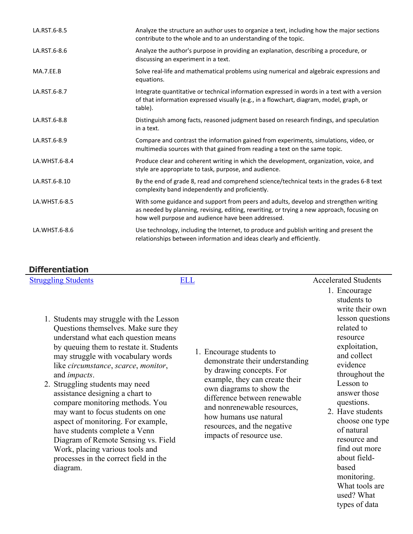| LA.RST.6-8.5  | Analyze the structure an author uses to organize a text, including how the major sections<br>contribute to the whole and to an understanding of the topic.                                                                               |
|---------------|------------------------------------------------------------------------------------------------------------------------------------------------------------------------------------------------------------------------------------------|
| LA.RST.6-8.6  | Analyze the author's purpose in providing an explanation, describing a procedure, or<br>discussing an experiment in a text.                                                                                                              |
| MA.7.EE.B     | Solve real-life and mathematical problems using numerical and algebraic expressions and<br>equations.                                                                                                                                    |
| LA.RST.6-8.7  | Integrate quantitative or technical information expressed in words in a text with a version<br>of that information expressed visually (e.g., in a flowchart, diagram, model, graph, or<br>table).                                        |
| LA.RST.6-8.8  | Distinguish among facts, reasoned judgment based on research findings, and speculation<br>in a text.                                                                                                                                     |
| LA.RST.6-8.9  | Compare and contrast the information gained from experiments, simulations, video, or<br>multimedia sources with that gained from reading a text on the same topic.                                                                       |
| LA.WHST.6-8.4 | Produce clear and coherent writing in which the development, organization, voice, and<br>style are appropriate to task, purpose, and audience.                                                                                           |
| LA.RST.6-8.10 | By the end of grade 8, read and comprehend science/technical texts in the grades 6-8 text<br>complexity band independently and proficiently.                                                                                             |
| LA.WHST.6-8.5 | With some guidance and support from peers and adults, develop and strengthen writing<br>as needed by planning, revising, editing, rewriting, or trying a new approach, focusing on<br>how well purpose and audience have been addressed. |
| LA.WHST.6-8.6 | Use technology, including the Internet, to produce and publish writing and present the<br>relationships between information and ideas clearly and efficiently.                                                                           |

#### **Differentiation**

| <b>Struggling Students</b> | ELL | <b>Accelerated Students</b> |
|----------------------------|-----|-----------------------------|
|                            |     | $\Gamma$ noouroco           |

- 1. Students may struggle with the Lesson Questions themselves. Make sure they understand what each question means by queuing them to restate it. Students may struggle with vocabulary words like *circumstance*, *scarce*, *monitor*, and *impacts*.
- 2. Struggling students may need assistance designing a chart to compare monitoring methods. You may want to focus students on one aspect of monitoring. For example, have students complete a Venn Diagram of Remote Sensing vs. Field Work, placing various tools and processes in the correct field in the diagram.
- 1. Encourage students to demonstrate their understanding by drawing concepts. For example, they can create their own diagrams to show the difference between renewable and nonrenewable resources, how humans use natural resources, and the negative impacts of resource use.
- 1. Encourage students to write their own lesson questions related to resource exploitation, and collect evidence throughout the Lesson to answer those questions.
- 2. Have students choose one type of natural resource and find out more about fieldbased monitoring. What tools are used? What types of data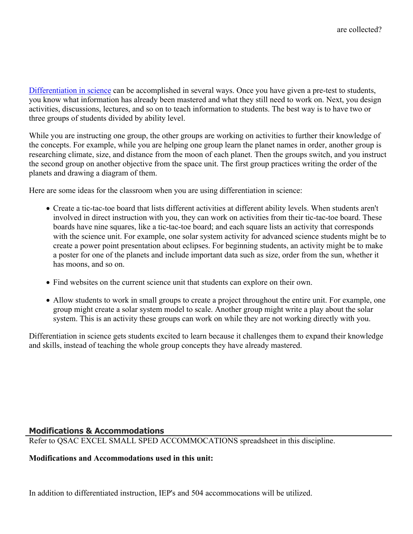[Differentiation in science](http://www.brighthubeducation.com/teaching-gifted-students/65181-differentiation-techniques-and-activities-in-the-classroom-for-gifted-students/) can be accomplished in several ways. Once you have given a pre-test to students, you know what information has already been mastered and what they still need to work on. Next, you design activities, discussions, lectures, and so on to teach information to students. The best way is to have two or three groups of students divided by ability level.

While you are instructing one group, the other groups are working on activities to further their knowledge of the concepts. For example, while you are helping one group learn the planet names in order, another group is researching climate, size, and distance from the moon of each planet. Then the groups switch, and you instruct the second group on another objective from the space unit. The first group practices writing the order of the planets and drawing a diagram of them.

Here are some ideas for the classroom when you are using differentiation in science:

- Create a tic-tac-toe board that lists different activities at different ability levels. When students aren't involved in direct instruction with you, they can work on activities from their tic-tac-toe board. These boards have nine squares, like a tic-tac-toe board; and each square lists an activity that corresponds with the science unit. For example, one solar system activity for advanced science students might be to create a power point presentation about eclipses. For beginning students, an activity might be to make a poster for one of the planets and include important data such as size, order from the sun, whether it has moons, and so on.
- Find websites on the current science unit that students can explore on their own.
- Allow students to work in small groups to create a project throughout the entire unit. For example, one group might create a solar system model to scale. Another group might write a play about the solar system. This is an activity these groups can work on while they are not working directly with you.

Differentiation in science gets students excited to learn because it challenges them to expand their knowledge and skills, instead of teaching the whole group concepts they have already mastered.

### **Modifications & Accommodations**

Refer to QSAC EXCEL SMALL SPED ACCOMMOCATIONS spreadsheet in this discipline.

#### **Modifications and Accommodations used in this unit:**

In addition to differentiated instruction, IEP's and 504 accommocations will be utilized.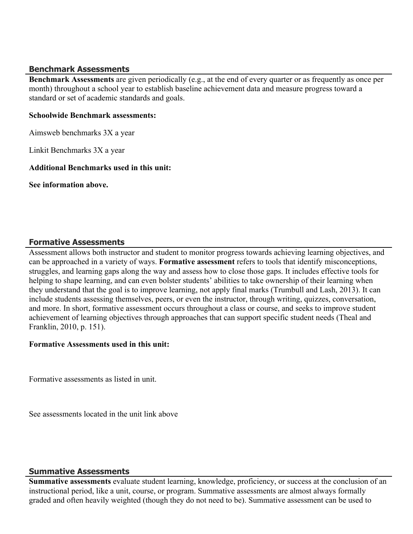#### **Benchmark Assessments**

**Benchmark Assessments** are given periodically (e.g., at the end of every quarter or as frequently as once per month) throughout a school year to establish baseline achievement data and measure progress toward a standard or set of academic standards and goals.

#### **Schoolwide Benchmark assessments:**

Aimsweb benchmarks 3X a year

Linkit Benchmarks 3X a year

#### **Additional Benchmarks used in this unit:**

**See information above.** 

#### **Formative Assessments**

Assessment allows both instructor and student to monitor progress towards achieving learning objectives, and can be approached in a variety of ways. **Formative assessment** refers to tools that identify misconceptions, struggles, and learning gaps along the way and assess how to close those gaps. It includes effective tools for helping to shape learning, and can even bolster students' abilities to take ownership of their learning when they understand that the goal is to improve learning, not apply final marks (Trumbull and Lash, 2013). It can include students assessing themselves, peers, or even the instructor, through writing, quizzes, conversation, and more. In short, formative assessment occurs throughout a class or course, and seeks to improve student achievement of learning objectives through approaches that can support specific student needs (Theal and Franklin, 2010, p. 151).

### **Formative Assessments used in this unit:**

Formative assessments as listed in unit.

See assessments located in the unit link above

#### **Summative Assessments**

**Summative assessments** evaluate student learning, knowledge, proficiency, or success at the conclusion of an instructional period, like a unit, course, or program. Summative assessments are almost always formally graded and often heavily weighted (though they do not need to be). Summative assessment can be used to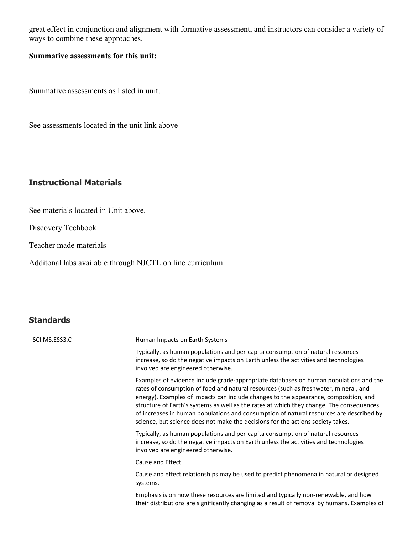great effect in conjunction and alignment with formative assessment, and instructors can consider a variety of ways to combine these approaches.

### **Summative assessments for this unit:**

Summative assessments as listed in unit.

See assessments located in the unit link above

#### **Instructional Materials**

See materials located in Unit above.

Discovery Techbook

Teacher made materials

Additonal labs available through NJCTL on line curriculum

# **Standards**

| SCI.MS.ESS3.C | Human Impacts on Earth Systems                                                                                                                                                                                                                                                                                                                                                                                                                                                                                                                  |
|---------------|-------------------------------------------------------------------------------------------------------------------------------------------------------------------------------------------------------------------------------------------------------------------------------------------------------------------------------------------------------------------------------------------------------------------------------------------------------------------------------------------------------------------------------------------------|
|               | Typically, as human populations and per-capita consumption of natural resources<br>increase, so do the negative impacts on Earth unless the activities and technologies<br>involved are engineered otherwise.                                                                                                                                                                                                                                                                                                                                   |
|               | Examples of evidence include grade-appropriate databases on human populations and the<br>rates of consumption of food and natural resources (such as freshwater, mineral, and<br>energy). Examples of impacts can include changes to the appearance, composition, and<br>structure of Earth's systems as well as the rates at which they change. The consequences<br>of increases in human populations and consumption of natural resources are described by<br>science, but science does not make the decisions for the actions society takes. |
|               | Typically, as human populations and per-capita consumption of natural resources<br>increase, so do the negative impacts on Earth unless the activities and technologies<br>involved are engineered otherwise.                                                                                                                                                                                                                                                                                                                                   |
|               | Cause and Effect                                                                                                                                                                                                                                                                                                                                                                                                                                                                                                                                |
|               | Cause and effect relationships may be used to predict phenomena in natural or designed<br>systems.                                                                                                                                                                                                                                                                                                                                                                                                                                              |
|               | Emphasis is on how these resources are limited and typically non-renewable, and how<br>their distributions are significantly changing as a result of removal by humans. Examples of                                                                                                                                                                                                                                                                                                                                                             |